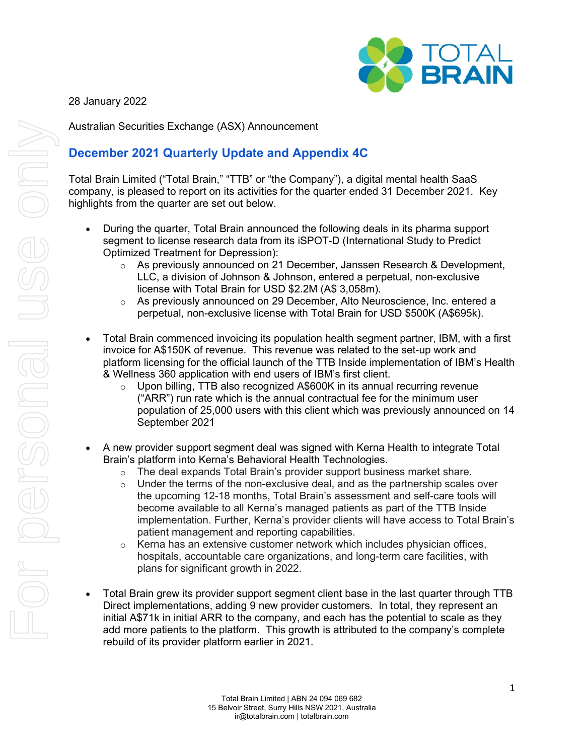

## 28 January 2022

Australian Securities Exchange (ASX) Announcement

# **December 2021 Quarterly Update and Appendix 4C**

Total Brain Limited ("Total Brain," "TTB" or "the Company"), a digital mental health SaaS company, is pleased to report on its activities for the quarter ended 31 December 2021. Key highlights from the quarter are set out below.

- During the quarter, Total Brain announced the following deals in its pharma support segment to license research data from its iSPOT-D (International Study to Predict Optimized Treatment for Depression):
	- $\circ$  As previously announced on 21 December, Janssen Research & Development, LLC, a division of Johnson & Johnson, entered a perpetual, non-exclusive license with Total Brain for USD \$2.2M (A\$ 3,058m).
	- $\circ$  As previously announced on 29 December, Alto Neuroscience, Inc. entered a perpetual, non-exclusive license with Total Brain for USD \$500K (A\$695k).
- Total Brain commenced invoicing its population health segment partner, IBM, with a first invoice for A\$150K of revenue. This revenue was related to the set-up work and platform licensing for the official launch of the TTB Inside implementation of IBM's Health & Wellness 360 application with end users of IBM's first client.
	- $\circ$  Upon billing, TTB also recognized A\$600K in its annual recurring revenue ("ARR") run rate which is the annual contractual fee for the minimum user population of 25,000 users with this client which was previously announced on 14 September 2021
- A new provider support segment deal was signed with Kerna Health to integrate Total Brain's platform into Kerna's Behavioral Health Technologies.
	- $\circ$  The deal expands Total Brain's provider support business market share.
	- $\circ$  Under the terms of the non-exclusive deal, and as the partnership scales over the upcoming 12-18 months, Total Brain's assessment and self-care tools will become available to all Kerna's managed patients as part of the TTB Inside implementation. Further, Kerna's provider clients will have access to Total Brain's patient management and reporting capabilities.
	- $\circ$  Kerna has an extensive customer network which includes physician offices, hospitals, accountable care organizations, and long-term care facilities, with plans for significant growth in 2022.
- Total Brain grew its provider support segment client base in the last quarter through TTB Direct implementations, adding 9 new provider customers. In total, they represent an initial A\$71k in initial ARR to the company, and each has the potential to scale as they add more patients to the platform. This growth is attributed to the company's complete rebuild of its provider platform earlier in 2021.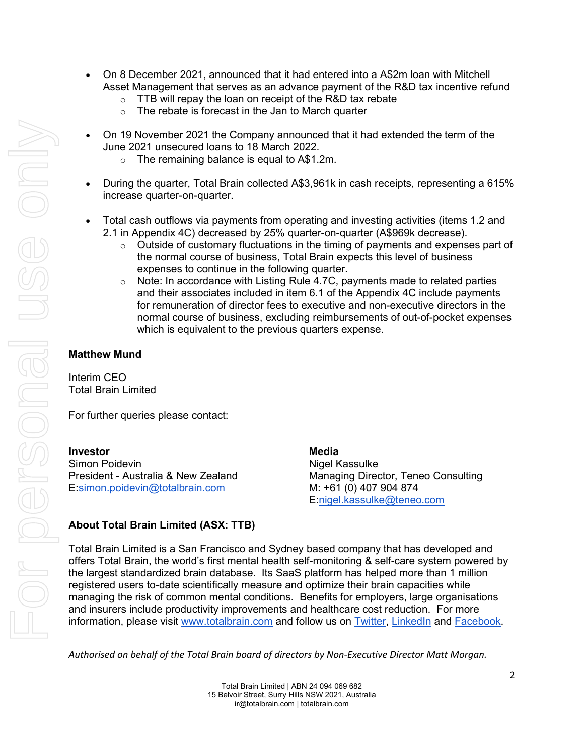- On 8 December 2021, announced that it had entered into a A\$2m loan with Mitchell Asset Management that serves as an advance payment of the R&D tax incentive refund
	- $\circ$  TTB will repay the loan on receipt of the R&D tax rebate
	- $\circ$  The rebate is forecast in the Jan to March quarter
- On 19 November 2021 the Company announced that it had extended the term of the June 2021 unsecured loans to 18 March 2022.
	- $\circ$  The remaining balance is equal to A\$1.2m.
- During the quarter, Total Brain collected A\$3,961k in cash receipts, representing a 615% increase quarter-on-quarter.
- Total cash outflows via payments from operating and investing activities (items 1.2 and 2.1 in Appendix 4C) decreased by 25% quarter-on-quarter (A\$969k decrease).
	- $\circ$  Outside of customary fluctuations in the timing of payments and expenses part of the normal course of business, Total Brain expects this level of business expenses to continue in the following quarter.
	- $\circ$  Note: In accordance with Listing Rule 4.7C, payments made to related parties and their associates included in item 6.1 of the Appendix 4C include payments for remuneration of director fees to executive and non-executive directors in the normal course of business, excluding reimbursements of out-of-pocket expenses which is equivalent to the previous quarters expense.

### **Matthew Mund**

Interim CEO Total Brain Limited

For further queries please contact:

**Investor Media** Simon Poidevin **Nigel Kassulke** E[:simon.poidevin@totalbrain.com](mailto:simon.poidevin@totalbrain.com) M: +61 (0) 407 904 874

President - Australia & New Zealand Managing Director, Teneo Consulting E[:nigel.kassulke@teneo.com](mailto:nigel.kassulke@teneo.com)

### **About Total Brain Limited (ASX: TTB)**

Total Brain Limited is a San Francisco and Sydney based company that has developed and offers Total Brain, the world's first mental health self-monitoring & self-care system powered by the largest standardized brain database. Its SaaS platform has helped more than 1 million registered users to-date scientifically measure and optimize their brain capacities while managing the risk of common mental conditions. Benefits for employers, large organisations and insurers include productivity improvements and healthcare cost reduction. For more information, please visit [www.totalbrain.com](http://www.totalbrain.com/) and follow us on [Twitter,](https://twitter.com/totalbraininc) [LinkedIn](https://www.linkedin.com/company/totalbrain/) and [Facebook.](https://www.facebook.com/totalbraininc/)

*Authorised on behalf of the Total Brain board of directors by Non-Executive Director Matt Morgan.*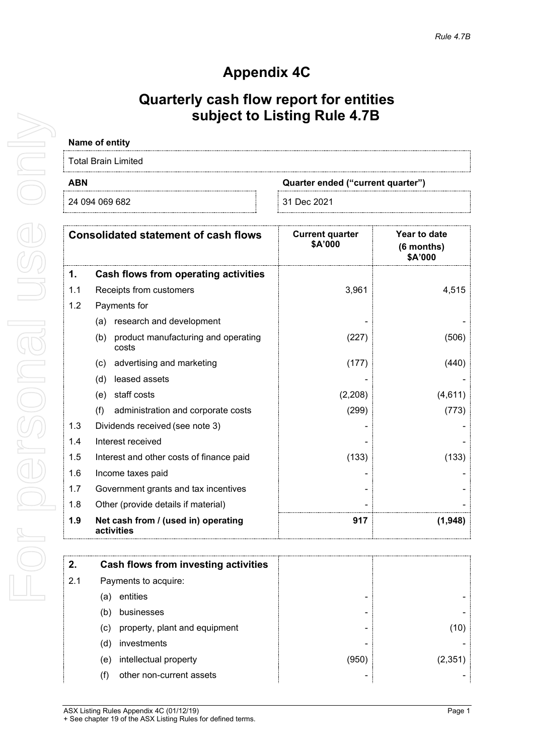# **Appendix 4C**

# **Quarterly cash flow report for entities subject to Listing Rule 4.7B**

# **Name of entity**

| <b>Total Brain Limited</b> |                                   |
|----------------------------|-----------------------------------|
| <b>ABN</b>                 | Quarter ended ("current quarter") |
| 24 094 069 682             | ⊟ 31 Dec 2021                     |

|     | <b>Consolidated statement of cash flows</b>         | <b>Current quarter</b><br>\$A'000 | Year to date<br>(6 months)<br>\$A'000 |
|-----|-----------------------------------------------------|-----------------------------------|---------------------------------------|
| 1.  | Cash flows from operating activities                |                                   |                                       |
| 1.1 | Receipts from customers                             | 3,961                             | 4,515                                 |
| 1.2 | Payments for                                        |                                   |                                       |
|     | research and development<br>(a)                     |                                   |                                       |
|     | product manufacturing and operating<br>(b)<br>costs | (227)                             | (506)                                 |
|     | advertising and marketing<br>(c)                    | (177)                             | (440)                                 |
|     | leased assets<br>(d)                                |                                   |                                       |
|     | staff costs<br>(e)                                  | (2,208)                           | (4,611)                               |
|     | (f)<br>administration and corporate costs           | (299)                             | (773)                                 |
| 1.3 | Dividends received (see note 3)                     |                                   |                                       |
| 1.4 | Interest received                                   |                                   |                                       |
| 1.5 | Interest and other costs of finance paid            | (133)                             | (133)                                 |
| 1.6 | Income taxes paid                                   |                                   |                                       |
| 1.7 | Government grants and tax incentives                |                                   |                                       |
| 1.8 | Other (provide details if material)                 |                                   |                                       |
| 1.9 | Net cash from / (used in) operating<br>activities   | 917                               | (1,948)                               |

| 2.  | Cash flows from investing activities |      |        |
|-----|--------------------------------------|------|--------|
| 2.1 | Payments to acquire:                 |      |        |
|     | entities<br>(a)                      | -    |        |
|     | businesses<br>(b)                    | -    |        |
|     | property, plant and equipment<br>(c) | -    |        |
|     | investments<br>(d)                   |      |        |
|     | intellectual property<br>(e)         | (950 | (2.351 |
|     | other non-current assets             |      |        |

For personal use only For personal use only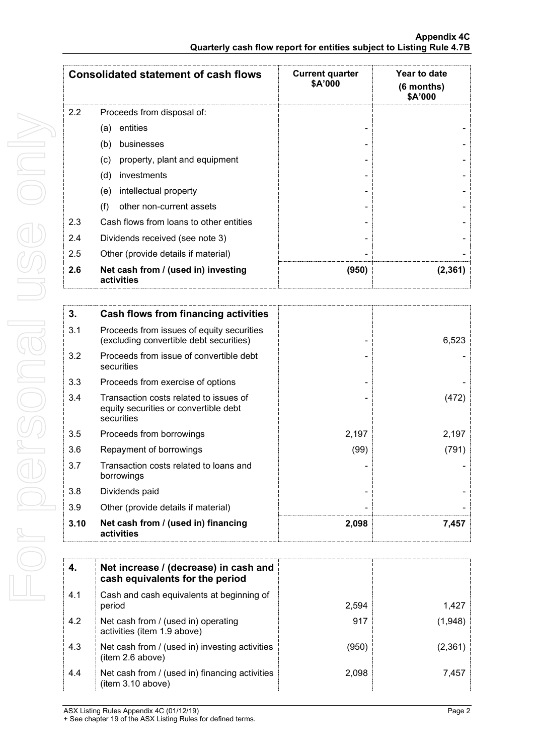|     | <b>Consolidated statement of cash flows</b>       | <b>Current quarter</b><br>\$A'000 | <b>Year to date</b><br>$(6$ months)<br>\$A'000 |
|-----|---------------------------------------------------|-----------------------------------|------------------------------------------------|
| 2.2 | Proceeds from disposal of:                        |                                   |                                                |
|     | entities<br>(a)                                   |                                   |                                                |
|     | (b)<br>businesses                                 |                                   |                                                |
|     | property, plant and equipment<br>(c)              |                                   |                                                |
|     | investments<br>(d)                                |                                   |                                                |
|     | intellectual property<br>(e)                      |                                   |                                                |
|     | other non-current assets<br>(f)                   |                                   |                                                |
| 2.3 | Cash flows from loans to other entities           |                                   |                                                |
| 2.4 | Dividends received (see note 3)                   |                                   |                                                |
| 2.5 | Other (provide details if material)               |                                   |                                                |
| 2.6 | Net cash from / (used in) investing<br>activities | (950)                             | (2,361)                                        |

| 3.   | Cash flows from financing activities                                                          |       |       |
|------|-----------------------------------------------------------------------------------------------|-------|-------|
| 3.1  | Proceeds from issues of equity securities<br>(excluding convertible debt securities)          |       | 6,523 |
| 3.2  | Proceeds from issue of convertible debt<br>securities                                         |       |       |
| 3.3  | Proceeds from exercise of options                                                             |       |       |
| 3.4  | Transaction costs related to issues of<br>equity securities or convertible debt<br>securities |       | (472) |
| 3.5  | Proceeds from borrowings                                                                      | 2,197 | 2,197 |
| 3.6  | Repayment of borrowings                                                                       | (99)  | (791) |
| 3.7  | Transaction costs related to loans and<br>borrowings                                          |       |       |
| 3.8  | Dividends paid                                                                                |       |       |
| 3.9  | Other (provide details if material)                                                           |       |       |
| 3.10 | Net cash from / (used in) financing<br>activities                                             | 2,098 | 7,457 |

| 4.  | Net increase / (decrease) in cash and<br>cash equivalents for the period |       |       |
|-----|--------------------------------------------------------------------------|-------|-------|
|     |                                                                          |       |       |
| 4.1 | Cash and cash equivalents at beginning of<br>period                      | 2.594 | 1.427 |
| 4.2 | Net cash from / (used in) operating<br>activities (item 1.9 above)       | 917   | 1.948 |
| 4.3 | Net cash from / (used in) investing activities<br>(item 2.6 above)       | (950` | 2.361 |
| 4.4 | Net cash from / (used in) financing activities<br>(item 3.10 above)      | 2.098 | 7.457 |

ASX Listing Rules Appendix 4C (01/12/19) Page 2

<sup>+</sup> See chapter 19 of the ASX Listing Rules for defined terms.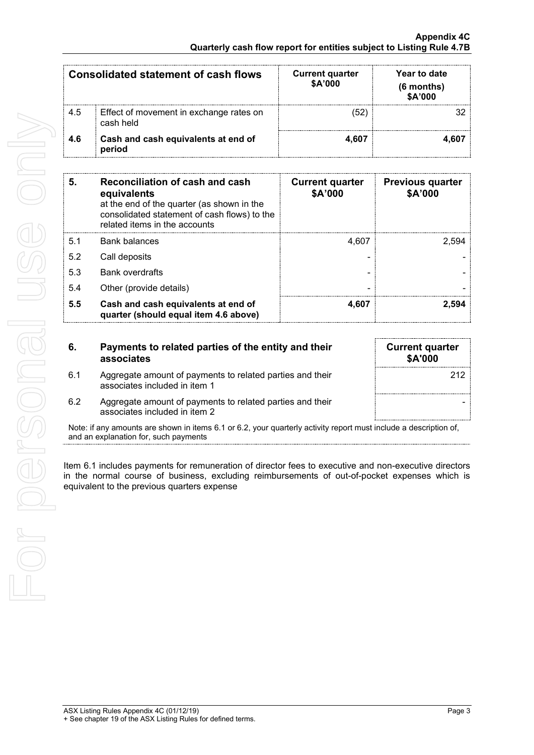|     | Consolidated statement of cash flows                 | <b>Current quarter</b><br>\$A'000 | Year to date<br>(6 months)<br>\$A'000 |
|-----|------------------------------------------------------|-----------------------------------|---------------------------------------|
| 4.5 | Effect of movement in exchange rates on<br>cash held | '52                               |                                       |
| 4.6 | Cash and cash equivalents at end of<br>period        | 4.607                             |                                       |

| 5   | Reconciliation of cash and cash<br>equivalents<br>at the end of the quarter (as shown in the<br>consolidated statement of cash flows) to the<br>related items in the accounts | <b>Current quarter</b><br>\$A'000 | <b>Previous quarter</b><br>\$A'000 |
|-----|-------------------------------------------------------------------------------------------------------------------------------------------------------------------------------|-----------------------------------|------------------------------------|
| 5.1 | <b>Bank balances</b>                                                                                                                                                          | 4.607                             | 2.594                              |
| 5.2 | Call deposits                                                                                                                                                                 |                                   |                                    |
| 5.3 | <b>Bank overdrafts</b>                                                                                                                                                        |                                   |                                    |
| 5.4 | Other (provide details)                                                                                                                                                       |                                   |                                    |
| 5.5 | Cash and cash equivalents at end of<br>quarter (should equal item 4.6 above)                                                                                                  | 4,607                             | 2.594                              |

| 6.  | Payments to related parties of the entity and their<br>associates                          | <b>Current quarter</b><br><b>\$A'000</b> |
|-----|--------------------------------------------------------------------------------------------|------------------------------------------|
| 6.1 | Aggregate amount of payments to related parties and their<br>associates included in item 1 |                                          |
| 6.2 | Aggregate amount of payments to related parties and their<br>associates included in item 2 |                                          |

Note: if any amounts are shown in items 6.1 or 6.2, your quarterly activity report must include a description of, and an explanation for, such payments

Item 6.1 includes payments for remuneration of director fees to executive and non-executive directors in the normal course of business, excluding reimbursements of out-of-pocket expenses which is equivalent to the previous quarters expense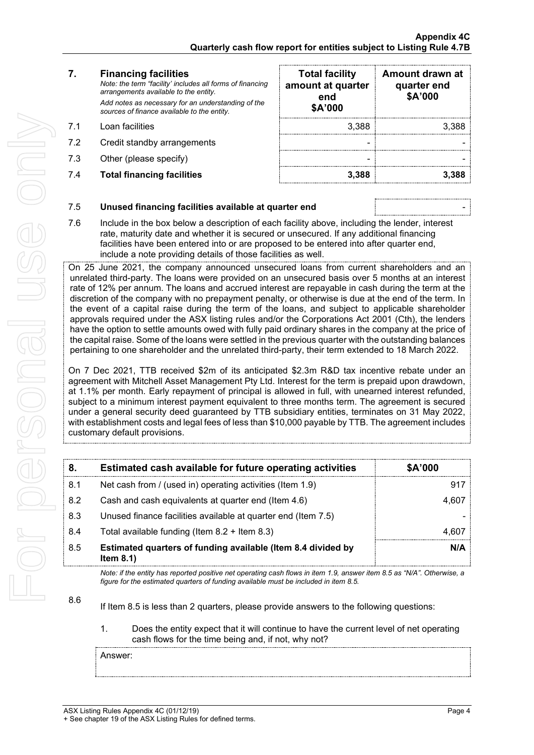### **7. Financing facilities**

*Note: the term "facility' includes all forms of financing arrangements available to the entity. Add notes as necessary for an understanding of the sources of finance available to the entity.*

- 7.1 Loan facilities
- 7.2 Credit standby arrangements
- 7.3 Other (please specify)
- 7.4 **Total financing facilities 3,388 3,388**

| <b>Total facility</b><br>amount at quarter<br>end<br>\$A'000 | Amount drawn at<br>quarter end<br>\$A'000 |
|--------------------------------------------------------------|-------------------------------------------|
| 3,388                                                        | 3,388                                     |
|                                                              |                                           |
|                                                              |                                           |
| 3,388                                                        |                                           |

## 7.5 **Unused financing facilities available at quarter end** -

7.6 Include in the box below a description of each facility above, including the lender, interest rate, maturity date and whether it is secured or unsecured. If any additional financing facilities have been entered into or are proposed to be entered into after quarter end, include a note providing details of those facilities as well.

On 25 June 2021, the company announced unsecured loans from current shareholders and an unrelated third-party. The loans were provided on an unsecured basis over 5 months at an interest rate of 12% per annum. The loans and accrued interest are repayable in cash during the term at the discretion of the company with no prepayment penalty, or otherwise is due at the end of the term. In the event of a capital raise during the term of the loans, and subject to applicable shareholder approvals required under the ASX listing rules and/or the Corporations Act 2001 (Cth), the lenders have the option to settle amounts owed with fully paid ordinary shares in the company at the price of the capital raise. Some of the loans were settled in the previous quarter with the outstanding balances pertaining to one shareholder and the unrelated third-party, their term extended to 18 March 2022.

On 7 Dec 2021, TTB received \$2m of its anticipated \$2.3m R&D tax incentive rebate under an agreement with Mitchell Asset Management Pty Ltd. Interest for the term is prepaid upon drawdown, at 1.1% per month. Early repayment of principal is allowed in full, with unearned interest refunded, subject to a minimum interest payment equivalent to three months term. The agreement is secured under a general security deed guaranteed by TTB subsidiary entities, terminates on 31 May 2022, with establishment costs and legal fees of less than \$10,000 payable by TTB. The agreement includes customary default provisions.

| 8.  | Estimated cash available for future operating activities                     | <b>\$A'000</b> |
|-----|------------------------------------------------------------------------------|----------------|
| 8.1 | Net cash from / (used in) operating activities (Item 1.9)                    |                |
| 8.2 | Cash and cash equivalents at quarter end (Item 4.6)                          | 4.607          |
| 8.3 | Unused finance facilities available at quarter end (Item 7.5)                |                |
| 8.4 | Total available funding (Item $8.2 +$ Item $8.3$ )                           | 4.60           |
| 8.5 | Estimated quarters of funding available (Item 8.4 divided by<br>Item $8.1$ ) | N/A            |

*Note: if the entity has reported positive net operating cash flows in item 1.9, answer item 8.5 as "N/A". Otherwise, a figure for the estimated quarters of funding available must be included in item 8.5.*

If Item 8.5 is less than 2 quarters, please provide answers to the following questions:

### 1. Does the entity expect that it will continue to have the current level of net operating cash flows for the time being and, if not, why not?

Answer:

8.6